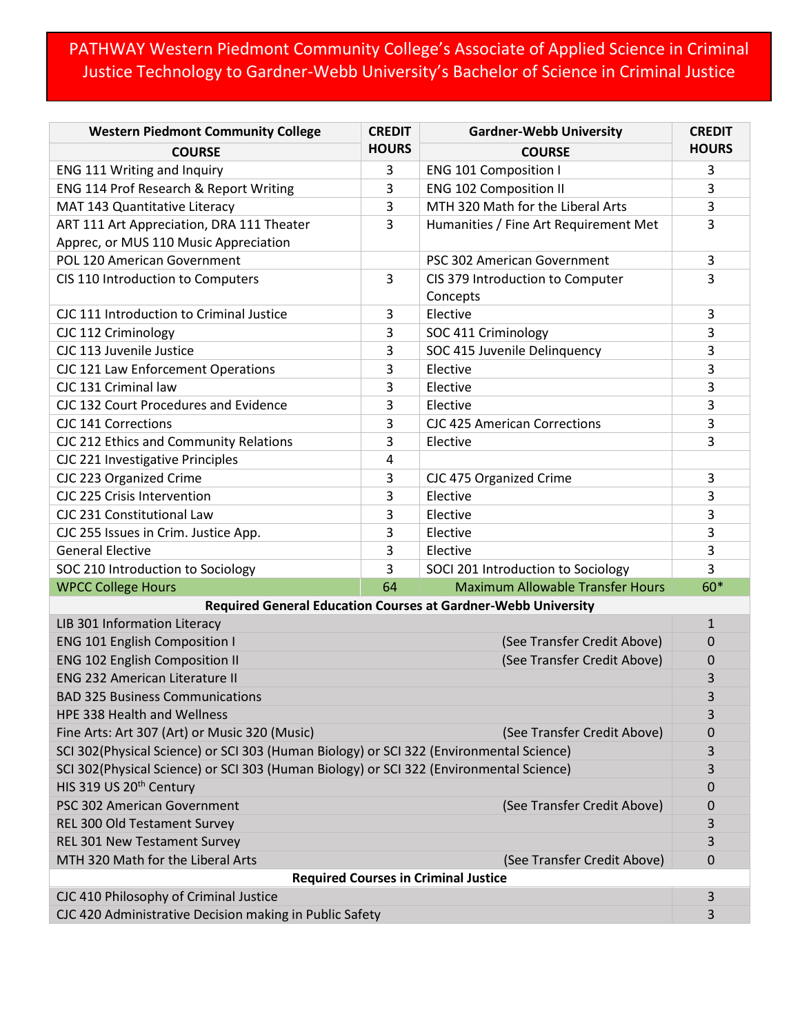## PATHWAY Western Piedmont Community College's Associate of Applied Science in Criminal Justice Technology to Gardner-Webb University's Bachelor of Science in Criminal Justice

| <b>Western Piedmont Community College</b>                                               | <b>CREDIT</b> | <b>Gardner-Webb University</b>          | <b>CREDIT</b> |  |
|-----------------------------------------------------------------------------------------|---------------|-----------------------------------------|---------------|--|
| <b>COURSE</b>                                                                           | <b>HOURS</b>  | <b>COURSE</b>                           | <b>HOURS</b>  |  |
| ENG 111 Writing and Inquiry                                                             | 3             | <b>ENG 101 Composition I</b>            | 3             |  |
| ENG 114 Prof Research & Report Writing                                                  | 3             | <b>ENG 102 Composition II</b>           | 3             |  |
| MAT 143 Quantitative Literacy                                                           | 3             | MTH 320 Math for the Liberal Arts       | 3             |  |
| ART 111 Art Appreciation, DRA 111 Theater                                               | 3             | Humanities / Fine Art Requirement Met   | 3             |  |
| Apprec, or MUS 110 Music Appreciation                                                   |               |                                         |               |  |
| POL 120 American Government                                                             |               | PSC 302 American Government             | 3             |  |
| CIS 110 Introduction to Computers                                                       | 3             | CIS 379 Introduction to Computer        | 3             |  |
|                                                                                         |               | Concepts                                |               |  |
| CJC 111 Introduction to Criminal Justice                                                | 3             | Elective                                | 3             |  |
| CJC 112 Criminology                                                                     | 3             | SOC 411 Criminology                     | 3             |  |
| CJC 113 Juvenile Justice                                                                | 3             | SOC 415 Juvenile Delinquency            | 3             |  |
| CJC 121 Law Enforcement Operations                                                      | 3             | Elective                                | 3             |  |
| CJC 131 Criminal law                                                                    | 3             | Elective                                | 3             |  |
| CJC 132 Court Procedures and Evidence                                                   | 3             | Elective                                | 3             |  |
| <b>CJC 141 Corrections</b>                                                              | 3             | <b>CJC 425 American Corrections</b>     | 3             |  |
| CJC 212 Ethics and Community Relations                                                  | 3             | Elective                                | 3             |  |
| CJC 221 Investigative Principles                                                        | 4             |                                         |               |  |
| CJC 223 Organized Crime                                                                 | 3             | CJC 475 Organized Crime                 | 3             |  |
| CJC 225 Crisis Intervention                                                             | 3             | Elective                                | 3             |  |
| CJC 231 Constitutional Law                                                              | 3             | Elective                                | 3             |  |
| CJC 255 Issues in Crim. Justice App.                                                    | 3             | Elective                                | 3             |  |
| <b>General Elective</b>                                                                 | 3             | Elective                                | 3             |  |
| SOC 210 Introduction to Sociology                                                       | 3             | SOCI 201 Introduction to Sociology      | 3             |  |
| <b>WPCC College Hours</b>                                                               | 64            | <b>Maximum Allowable Transfer Hours</b> | 60*           |  |
| <b>Required General Education Courses at Gardner-Webb University</b>                    |               |                                         |               |  |
| LIB 301 Information Literacy                                                            |               |                                         | $\mathbf{1}$  |  |
| <b>ENG 101 English Composition I</b>                                                    |               | (See Transfer Credit Above)             | 0             |  |
| <b>ENG 102 English Composition II</b><br>(See Transfer Credit Above)                    |               |                                         | 0             |  |
| <b>ENG 232 American Literature II</b>                                                   |               |                                         | 3             |  |
| <b>BAD 325 Business Communications</b>                                                  |               |                                         | 3             |  |
| <b>HPE 338 Health and Wellness</b>                                                      |               |                                         | 3             |  |
| Fine Arts: Art 307 (Art) or Music 320 (Music)<br>(See Transfer Credit Above)            |               |                                         | 0             |  |
| SCI 302(Physical Science) or SCI 303 (Human Biology) or SCI 322 (Environmental Science) |               |                                         | 3             |  |
| SCI 302(Physical Science) or SCI 303 (Human Biology) or SCI 322 (Environmental Science) |               |                                         | 3             |  |
| HIS 319 US 20 <sup>th</sup> Century                                                     |               |                                         | 0             |  |
| PSC 302 American Government                                                             |               | (See Transfer Credit Above)             | 0             |  |
| REL 300 Old Testament Survey                                                            |               |                                         | 3             |  |
| REL 301 New Testament Survey                                                            |               |                                         | 3             |  |
| MTH 320 Math for the Liberal Arts                                                       |               | (See Transfer Credit Above)             | $\mathbf 0$   |  |
| <b>Required Courses in Criminal Justice</b>                                             |               |                                         |               |  |
| CJC 410 Philosophy of Criminal Justice                                                  |               |                                         |               |  |
| CJC 420 Administrative Decision making in Public Safety                                 |               |                                         | 3             |  |